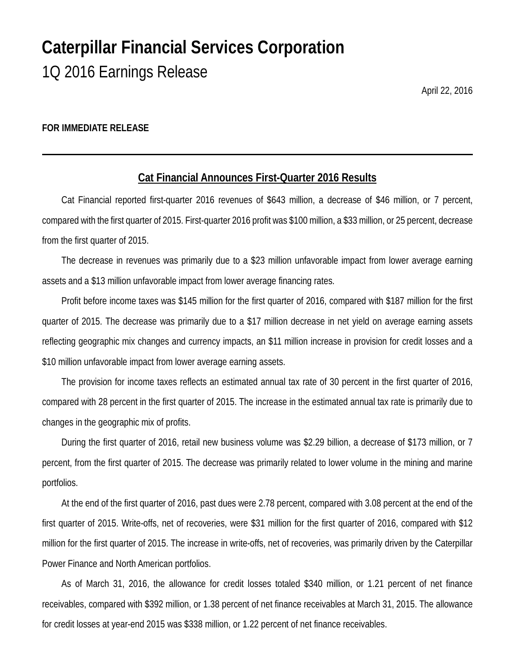# **Caterpillar Financial Services Corporation** 1Q 2016 Earnings Release

April 22, 2016

#### **FOR IMMEDIATE RELEASE**

## **Cat Financial Announces First-Quarter 2016 Results**

Cat Financial reported first-quarter 2016 revenues of \$643 million, a decrease of \$46 million, or 7 percent, compared with the first quarter of 2015. First-quarter 2016 profit was \$100 million, a \$33 million, or 25 percent, decrease from the first quarter of 2015.

The decrease in revenues was primarily due to a \$23 million unfavorable impact from lower average earning assets and a \$13 million unfavorable impact from lower average financing rates.

Profit before income taxes was \$145 million for the first quarter of 2016, compared with \$187 million for the first quarter of 2015. The decrease was primarily due to a \$17 million decrease in net yield on average earning assets reflecting geographic mix changes and currency impacts, an \$11 million increase in provision for credit losses and a \$10 million unfavorable impact from lower average earning assets.

The provision for income taxes reflects an estimated annual tax rate of 30 percent in the first quarter of 2016, compared with 28 percent in the first quarter of 2015. The increase in the estimated annual tax rate is primarily due to changes in the geographic mix of profits.

During the first quarter of 2016, retail new business volume was \$2.29 billion, a decrease of \$173 million, or 7 percent, from the first quarter of 2015. The decrease was primarily related to lower volume in the mining and marine portfolios.

At the end of the first quarter of 2016, past dues were 2.78 percent, compared with 3.08 percent at the end of the first quarter of 2015. Write-offs, net of recoveries, were \$31 million for the first quarter of 2016, compared with \$12 million for the first quarter of 2015. The increase in write-offs, net of recoveries, was primarily driven by the Caterpillar Power Finance and North American portfolios.

As of March 31, 2016, the allowance for credit losses totaled \$340 million, or 1.21 percent of net finance receivables, compared with \$392 million, or 1.38 percent of net finance receivables at March 31, 2015. The allowance for credit losses at year-end 2015 was \$338 million, or 1.22 percent of net finance receivables.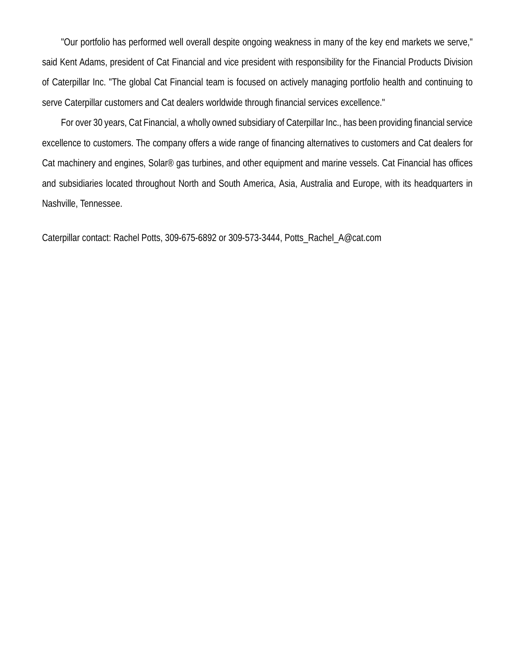"Our portfolio has performed well overall despite ongoing weakness in many of the key end markets we serve," said Kent Adams, president of Cat Financial and vice president with responsibility for the Financial Products Division of Caterpillar Inc. "The global Cat Financial team is focused on actively managing portfolio health and continuing to serve Caterpillar customers and Cat dealers worldwide through financial services excellence."

For over 30 years, Cat Financial, a wholly owned subsidiary of Caterpillar Inc., has been providing financial service excellence to customers. The company offers a wide range of financing alternatives to customers and Cat dealers for Cat machinery and engines, Solar® gas turbines, and other equipment and marine vessels. Cat Financial has offices and subsidiaries located throughout North and South America, Asia, Australia and Europe, with its headquarters in Nashville, Tennessee.

Caterpillar contact: Rachel Potts, 309-675-6892 or 309-573-3444, Potts\_Rachel\_A@cat.com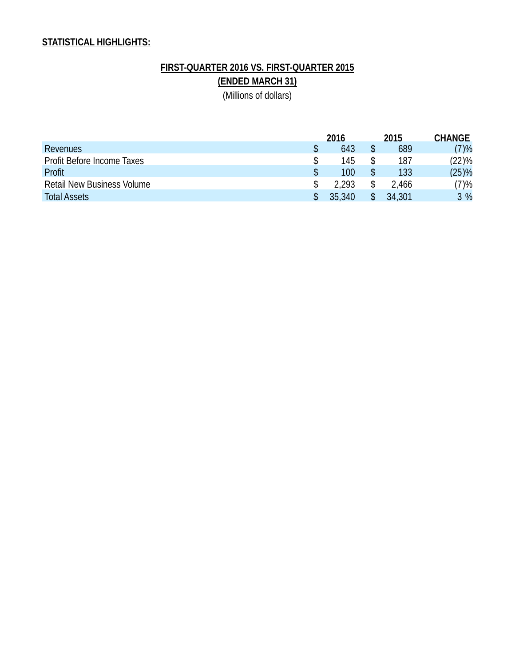## **STATISTICAL HIGHLIGHTS:**

# **FIRST-QUARTER 2016 VS. FIRST-QUARTER 2015 (ENDED MARCH 31)**

(Millions of dollars)

|                                   |  | 2016   |  | 2015   | <b>CHANGE</b> |
|-----------------------------------|--|--------|--|--------|---------------|
| <b>Revenues</b>                   |  | 643    |  | 689    | (7)%          |
| Profit Before Income Taxes        |  | 145    |  | 187    | (22)%         |
| Profit                            |  | 100    |  | 133    | $(25)\%$      |
| <b>Retail New Business Volume</b> |  | 2.293  |  | 2.466  | (7)%          |
| <b>Total Assets</b>               |  | 35.340 |  | 34,301 | 3 %           |